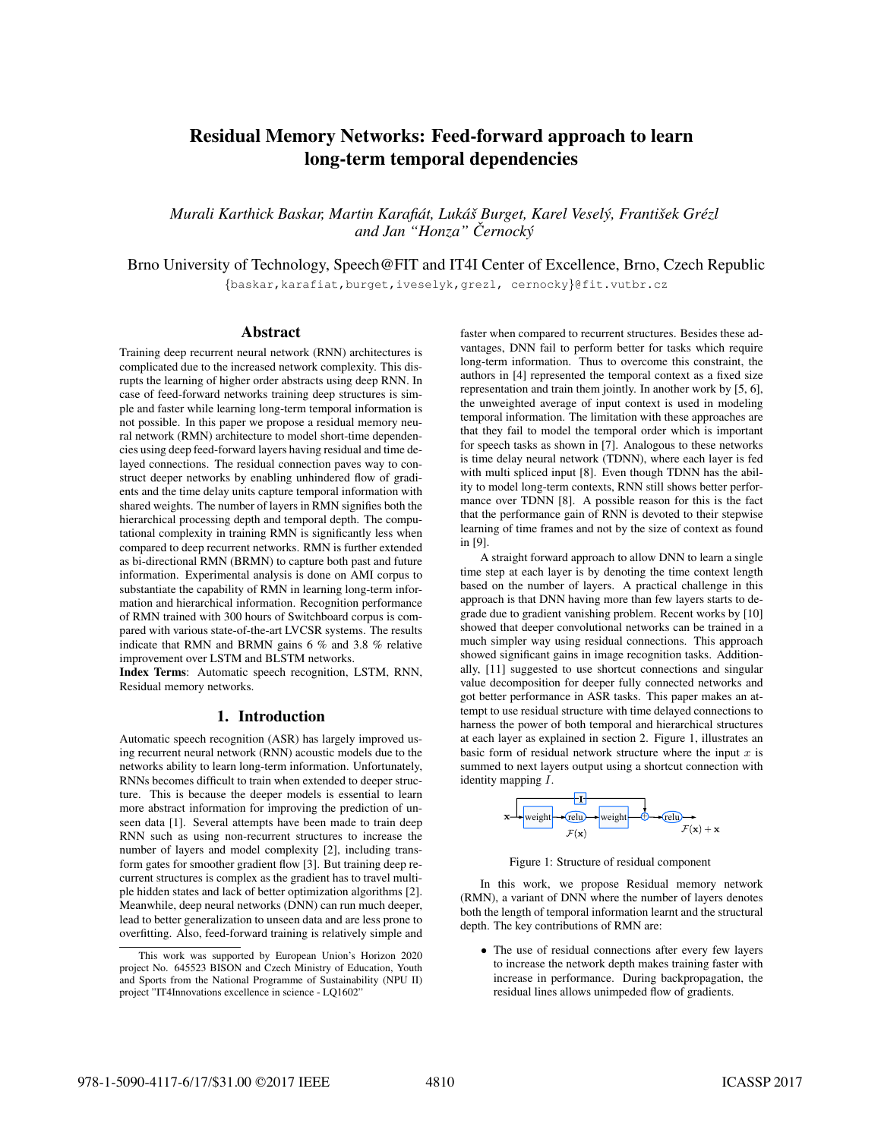# Residual Memory Networks: Feed-forward approach to learn long-term temporal dependencies

*Murali Karthick Baskar, Martin Karafiat, Luk ´ a´s Burget, Karel Vesel ˇ y, Franti ´ sek Gr ˇ ezl ´ and Jan "Honza" Cernock ˇ y´*

Brno University of Technology, Speech@FIT and IT4I Center of Excellence, Brno, Czech Republic

{baskar,karafiat,burget,iveselyk,grezl, cernocky}@fit.vutbr.cz

# Abstract

Training deep recurrent neural network (RNN) architectures is complicated due to the increased network complexity. This disrupts the learning of higher order abstracts using deep RNN. In case of feed-forward networks training deep structures is simple and faster while learning long-term temporal information is not possible. In this paper we propose a residual memory neural network (RMN) architecture to model short-time dependencies using deep feed-forward layers having residual and time delayed connections. The residual connection paves way to construct deeper networks by enabling unhindered flow of gradients and the time delay units capture temporal information with shared weights. The number of layers in RMN signifies both the hierarchical processing depth and temporal depth. The computational complexity in training RMN is significantly less when compared to deep recurrent networks. RMN is further extended as bi-directional RMN (BRMN) to capture both past and future information. Experimental analysis is done on AMI corpus to substantiate the capability of RMN in learning long-term information and hierarchical information. Recognition performance of RMN trained with 300 hours of Switchboard corpus is compared with various state-of-the-art LVCSR systems. The results indicate that RMN and BRMN gains 6 % and 3.8 % relative improvement over LSTM and BLSTM networks.

Index Terms: Automatic speech recognition, LSTM, RNN, Residual memory networks.

# 1. Introduction

Automatic speech recognition (ASR) has largely improved using recurrent neural network (RNN) acoustic models due to the networks ability to learn long-term information. Unfortunately, RNNs becomes difficult to train when extended to deeper structure. This is because the deeper models is essential to learn more abstract information for improving the prediction of unseen data [1]. Several attempts have been made to train deep RNN such as using non-recurrent structures to increase the number of layers and model complexity [2], including transform gates for smoother gradient flow [3]. But training deep recurrent structures is complex as the gradient has to travel multiple hidden states and lack of better optimization algorithms [2]. Meanwhile, deep neural networks (DNN) can run much deeper, lead to better generalization to unseen data and are less prone to overfitting. Also, feed-forward training is relatively simple and

faster when compared to recurrent structures. Besides these advantages, DNN fail to perform better for tasks which require long-term information. Thus to overcome this constraint, the authors in [4] represented the temporal context as a fixed size representation and train them jointly. In another work by [5, 6], the unweighted average of input context is used in modeling temporal information. The limitation with these approaches are that they fail to model the temporal order which is important for speech tasks as shown in [7]. Analogous to these networks is time delay neural network (TDNN), where each layer is fed with multi spliced input [8]. Even though TDNN has the ability to model long-term contexts, RNN still shows better performance over TDNN [8]. A possible reason for this is the fact that the performance gain of RNN is devoted to their stepwise learning of time frames and not by the size of context as found in [9].

A straight forward approach to allow DNN to learn a single time step at each layer is by denoting the time context length based on the number of layers. A practical challenge in this approach is that DNN having more than few layers starts to degrade due to gradient vanishing problem. Recent works by [10] showed that deeper convolutional networks can be trained in a much simpler way using residual connections. This approach showed significant gains in image recognition tasks. Additionally, [11] suggested to use shortcut connections and singular value decomposition for deeper fully connected networks and got better performance in ASR tasks. This paper makes an attempt to use residual structure with time delayed connections to harness the power of both temporal and hierarchical structures at each layer as explained in section 2. Figure 1, illustrates an basic form of residual network structure where the input  $x$  is summed to next layers output using a shortcut connection with identity mapping I.



Figure 1: Structure of residual component

In this work, we propose Residual memory network (RMN), a variant of DNN where the number of layers denotes both the length of temporal information learnt and the structural depth. The key contributions of RMN are:

• The use of residual connections after every few layers to increase the network depth makes training faster with increase in performance. During backpropagation, the residual lines allows unimpeded flow of gradients.

This work was supported by European Union's Horizon 2020 project No. 645523 BISON and Czech Ministry of Education, Youth and Sports from the National Programme of Sustainability (NPU II) project "IT4Innovations excellence in science - LQ1602"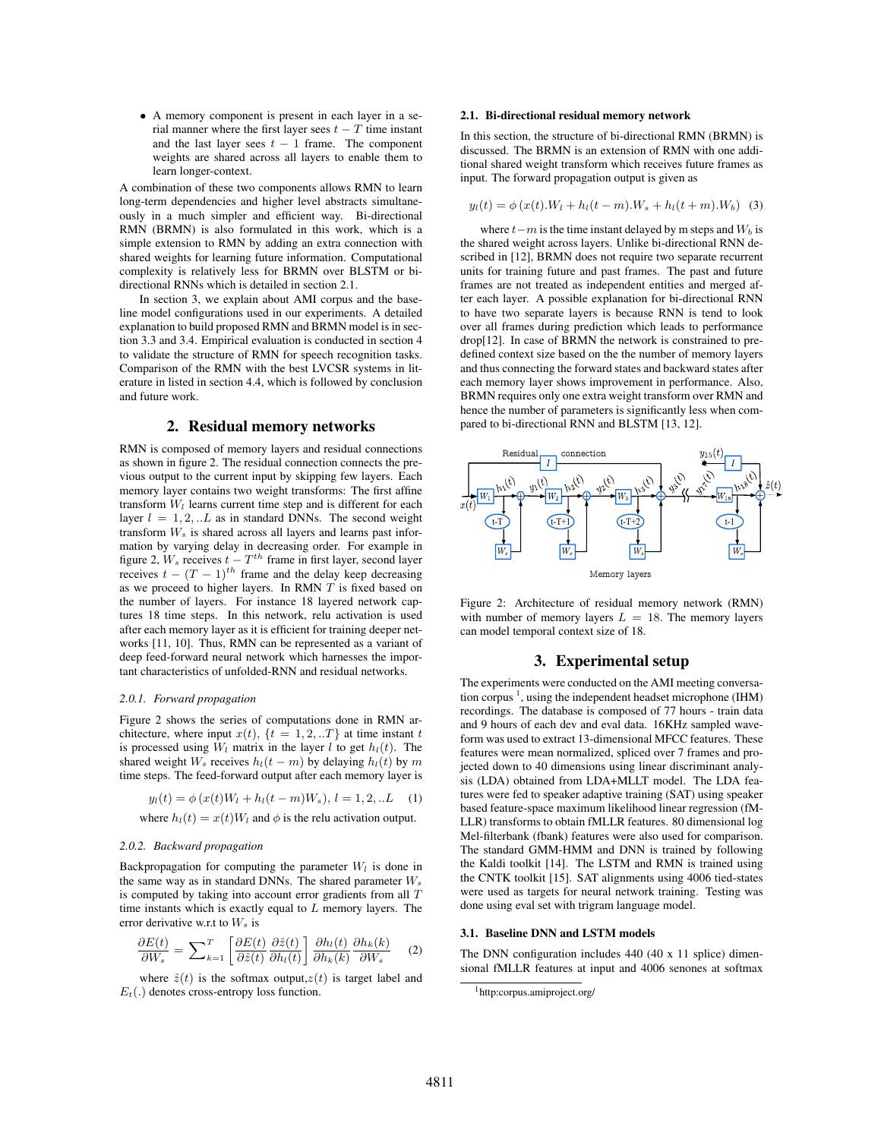• A memory component is present in each layer in a serial manner where the first layer sees  $t - T$  time instant and the last layer sees  $t - 1$  frame. The component weights are shared across all layers to enable them to learn longer-context.

A combination of these two components allows RMN to learn long-term dependencies and higher level abstracts simultaneously in a much simpler and efficient way. Bi-directional RMN (BRMN) is also formulated in this work, which is a simple extension to RMN by adding an extra connection with shared weights for learning future information. Computational complexity is relatively less for BRMN over BLSTM or bidirectional RNNs which is detailed in section 2.1.

In section 3, we explain about AMI corpus and the baseline model configurations used in our experiments. A detailed explanation to build proposed RMN and BRMN model is in section 3.3 and 3.4. Empirical evaluation is conducted in section 4 to validate the structure of RMN for speech recognition tasks. Comparison of the RMN with the best LVCSR systems in literature in listed in section 4.4, which is followed by conclusion and future work.

# 2. Residual memory networks

RMN is composed of memory layers and residual connections as shown in figure 2. The residual connection connects the previous output to the current input by skipping few layers. Each memory layer contains two weight transforms: The first affine transform  $W_l$  learns current time step and is different for each layer  $l = 1, 2, ... L$  as in standard DNNs. The second weight transform  $W_s$  is shared across all layers and learns past information by varying delay in decreasing order. For example in figure 2,  $W_s$  receives  $t - T^{th}$  frame in first layer, second layer receives  $t - (T - 1)^{th}$  frame and the delay keep decreasing as we proceed to higher layers. In RMN  $T$  is fixed based on the number of layers. For instance 18 layered network captures 18 time steps. In this network, relu activation is used after each memory layer as it is efficient for training deeper networks [11, 10]. Thus, RMN can be represented as a variant of deep feed-forward neural network which harnesses the important characteristics of unfolded-RNN and residual networks.

#### *2.0.1. Forward propagation*

Figure 2 shows the series of computations done in RMN architecture, where input  $x(t)$ ,  $\{t = 1, 2, ...T\}$  at time instant t is processed using  $W_l$  matrix in the layer l to get  $h_l(t)$ . The shared weight  $W_s$  receives  $h_l(t - m)$  by delaying  $h_l(t)$  by m time steps. The feed-forward output after each memory layer is

$$
y_l(t) = \phi(x(t)W_l + h_l(t - m)W_s), \ l = 1, 2, ...L \quad (1)
$$

where  $h_l(t) = x(t)W_l$  and  $\phi$  is the relu activation output.

## *2.0.2. Backward propagation*

Backpropagation for computing the parameter  $W_l$  is done in the same way as in standard DNNs. The shared parameter  $W_s$ is computed by taking into account error gradients from all  $T$ time instants which is exactly equal to L memory layers. The error derivative w.r.t to  $W_s$  is

$$
\frac{\partial E(t)}{\partial W_s} = \sum_{k=1}^T \left[ \frac{\partial E(t)}{\partial \hat{z}(t)} \frac{\partial \hat{z}(t)}{\partial h_l(t)} \right] \frac{\partial h_l(t)}{\partial h_k(k)} \frac{\partial h_k(k)}{\partial W_s} \quad (2)
$$

where  $\hat{z}(t)$  is the softmax output, $z(t)$  is target label and  $E_t(.)$  denotes cross-entropy loss function.

## 2.1. Bi-directional residual memory network

In this section, the structure of bi-directional RMN (BRMN) is discussed. The BRMN is an extension of RMN with one additional shared weight transform which receives future frames as input. The forward propagation output is given as

$$
y_l(t) = \phi(x(t).W_l + h_l(t - m).W_s + h_l(t + m).W_b)
$$
 (3)

where  $t-m$  is the time instant delayed by m steps and  $W_b$  is the shared weight across layers. Unlike bi-directional RNN described in [12], BRMN does not require two separate recurrent units for training future and past frames. The past and future frames are not treated as independent entities and merged after each layer. A possible explanation for bi-directional RNN to have two separate layers is because RNN is tend to look over all frames during prediction which leads to performance drop[12]. In case of BRMN the network is constrained to predefined context size based on the the number of memory layers and thus connecting the forward states and backward states after each memory layer shows improvement in performance. Also, BRMN requires only one extra weight transform over RMN and hence the number of parameters is significantly less when compared to bi-directional RNN and BLSTM [13, 12].



Figure 2: Architecture of residual memory network (RMN) with number of memory layers  $L = 18$ . The memory layers can model temporal context size of 18.

# 3. Experimental setup

The experiments were conducted on the AMI meeting conversation corpus<sup>1</sup>, using the independent headset microphone (IHM) recordings. The database is composed of 77 hours - train data and 9 hours of each dev and eval data. 16KHz sampled waveform was used to extract 13-dimensional MFCC features. These features were mean normalized, spliced over 7 frames and projected down to 40 dimensions using linear discriminant analysis (LDA) obtained from LDA+MLLT model. The LDA features were fed to speaker adaptive training (SAT) using speaker based feature-space maximum likelihood linear regression (fM-LLR) transforms to obtain fMLLR features. 80 dimensional log Mel-filterbank (fbank) features were also used for comparison. The standard GMM-HMM and DNN is trained by following the Kaldi toolkit [14]. The LSTM and RMN is trained using the CNTK toolkit [15]. SAT alignments using 4006 tied-states were used as targets for neural network training. Testing was done using eval set with trigram language model.

## 3.1. Baseline DNN and LSTM models

The DNN configuration includes 440 (40 x 11 splice) dimensional fMLLR features at input and 4006 senones at softmax

<sup>1</sup>http:corpus.amiproject.org/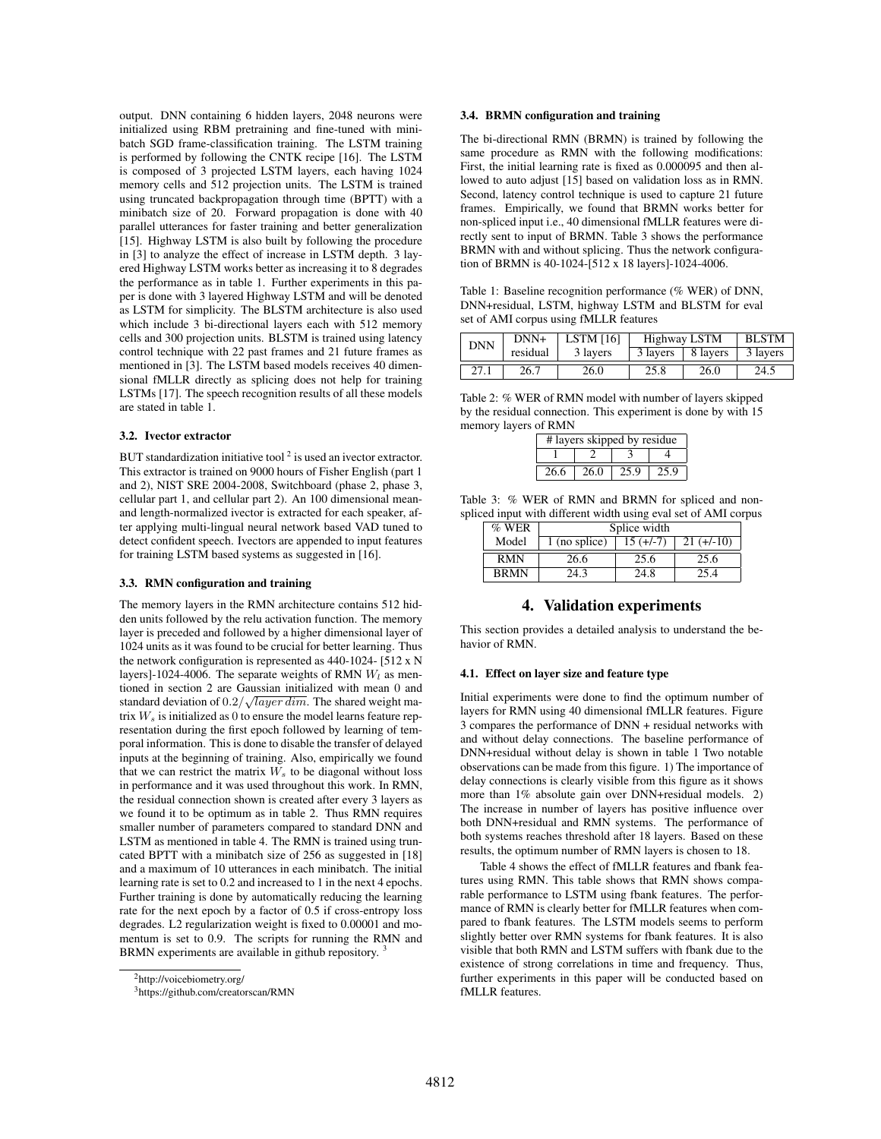output. DNN containing 6 hidden layers, 2048 neurons were initialized using RBM pretraining and fine-tuned with minibatch SGD frame-classification training. The LSTM training is performed by following the CNTK recipe [16]. The LSTM is composed of 3 projected LSTM layers, each having 1024 memory cells and 512 projection units. The LSTM is trained using truncated backpropagation through time (BPTT) with a minibatch size of 20. Forward propagation is done with 40 parallel utterances for faster training and better generalization [15]. Highway LSTM is also built by following the procedure in [3] to analyze the effect of increase in LSTM depth. 3 layered Highway LSTM works better as increasing it to 8 degrades the performance as in table 1. Further experiments in this paper is done with 3 layered Highway LSTM and will be denoted as LSTM for simplicity. The BLSTM architecture is also used which include 3 bi-directional layers each with 512 memory cells and 300 projection units. BLSTM is trained using latency control technique with 22 past frames and 21 future frames as mentioned in [3]. The LSTM based models receives 40 dimensional fMLLR directly as splicing does not help for training LSTMs [17]. The speech recognition results of all these models are stated in table 1.

## 3.2. Ivector extractor

BUT standardization initiative tool  $2$  is used an ivector extractor. This extractor is trained on 9000 hours of Fisher English (part 1 and 2), NIST SRE 2004-2008, Switchboard (phase 2, phase 3, cellular part 1, and cellular part 2). An 100 dimensional meanand length-normalized ivector is extracted for each speaker, after applying multi-lingual neural network based VAD tuned to detect confident speech. Ivectors are appended to input features for training LSTM based systems as suggested in [16].

## 3.3. RMN configuration and training

The memory layers in the RMN architecture contains 512 hidden units followed by the relu activation function. The memory layer is preceded and followed by a higher dimensional layer of 1024 units as it was found to be crucial for better learning. Thus the network configuration is represented as 440-1024- [512 x N layers]-1024-4006. The separate weights of RMN  $W_l$  as mentioned in section 2 are Gaussian initialized with mean 0 and standard deviation of  $0.2/\sqrt{layer\ dim}$ . The shared weight matrix  $W_s$  is initialized as 0 to ensure the model learns feature representation during the first epoch followed by learning of temporal information. This is done to disable the transfer of delayed inputs at the beginning of training. Also, empirically we found that we can restrict the matrix  $W_s$  to be diagonal without loss in performance and it was used throughout this work. In RMN, the residual connection shown is created after every 3 layers as we found it to be optimum as in table 2. Thus RMN requires smaller number of parameters compared to standard DNN and LSTM as mentioned in table 4. The RMN is trained using truncated BPTT with a minibatch size of 256 as suggested in [18] and a maximum of 10 utterances in each minibatch. The initial learning rate is set to 0.2 and increased to 1 in the next 4 epochs. Further training is done by automatically reducing the learning rate for the next epoch by a factor of 0.5 if cross-entropy loss degrades. L2 regularization weight is fixed to 0.00001 and momentum is set to 0.9. The scripts for running the RMN and BRMN experiments are available in github repository.

<sup>2</sup>http://voicebiometry.org/

<sup>3</sup>https://github.com/creatorscan/RMN

## 3.4. BRMN configuration and training

The bi-directional RMN (BRMN) is trained by following the same procedure as RMN with the following modifications: First, the initial learning rate is fixed as 0.000095 and then allowed to auto adjust [15] based on validation loss as in RMN. Second, latency control technique is used to capture 21 future frames. Empirically, we found that BRMN works better for non-spliced input i.e., 40 dimensional fMLLR features were directly sent to input of BRMN. Table 3 shows the performance BRMN with and without splicing. Thus the network configuration of BRMN is 40-1024-[512 x 18 layers]-1024-4006.

Table 1: Baseline recognition performance (% WER) of DNN, DNN+residual, LSTM, highway LSTM and BLSTM for eval set of AMI corpus using fMLLR features

| <b>DNN</b> | $DNN+$   | LSTM [16] | Highway LSTM |                     | <b>BLSTM</b> |
|------------|----------|-----------|--------------|---------------------|--------------|
|            | residual | 3 layers  |              | 3 layers   8 layers | 3 layers     |
| 27.1       | 26.7     | 26.0      | 25.8         | 26.0                | 24.5         |

Table 2: % WER of RMN model with number of layers skipped by the residual connection. This experiment is done by with 15 memory layers of RMN

| # layers skipped by residue |      |      |      |  |
|-----------------------------|------|------|------|--|
|                             |      |      |      |  |
| 26.6                        | 26.0 | 25.9 | 25.9 |  |

Table 3: % WER of RMN and BRMN for spliced and nonspliced input with different width using eval set of AMI corpus

| $%$ WER     | Splice width  |             |              |  |  |
|-------------|---------------|-------------|--------------|--|--|
| Model       | 1 (no splice) | $15 (+/-7)$ | $21 (+/-10)$ |  |  |
| <b>RMN</b>  | 26.6          | 25.6        | 25.6         |  |  |
| <b>BRMN</b> | 24.3          | 24.8        | 25.4         |  |  |

## 4. Validation experiments

This section provides a detailed analysis to understand the behavior of RMN.

#### 4.1. Effect on layer size and feature type

Initial experiments were done to find the optimum number of layers for RMN using 40 dimensional fMLLR features. Figure 3 compares the performance of DNN + residual networks with and without delay connections. The baseline performance of DNN+residual without delay is shown in table 1 Two notable observations can be made from this figure. 1) The importance of delay connections is clearly visible from this figure as it shows more than 1% absolute gain over DNN+residual models. 2) The increase in number of layers has positive influence over both DNN+residual and RMN systems. The performance of both systems reaches threshold after 18 layers. Based on these results, the optimum number of RMN layers is chosen to 18.

Table 4 shows the effect of fMLLR features and fbank features using RMN. This table shows that RMN shows comparable performance to LSTM using fbank features. The performance of RMN is clearly better for fMLLR features when compared to fbank features. The LSTM models seems to perform slightly better over RMN systems for fbank features. It is also visible that both RMN and LSTM suffers with fbank due to the existence of strong correlations in time and frequency. Thus, further experiments in this paper will be conducted based on fMLLR features.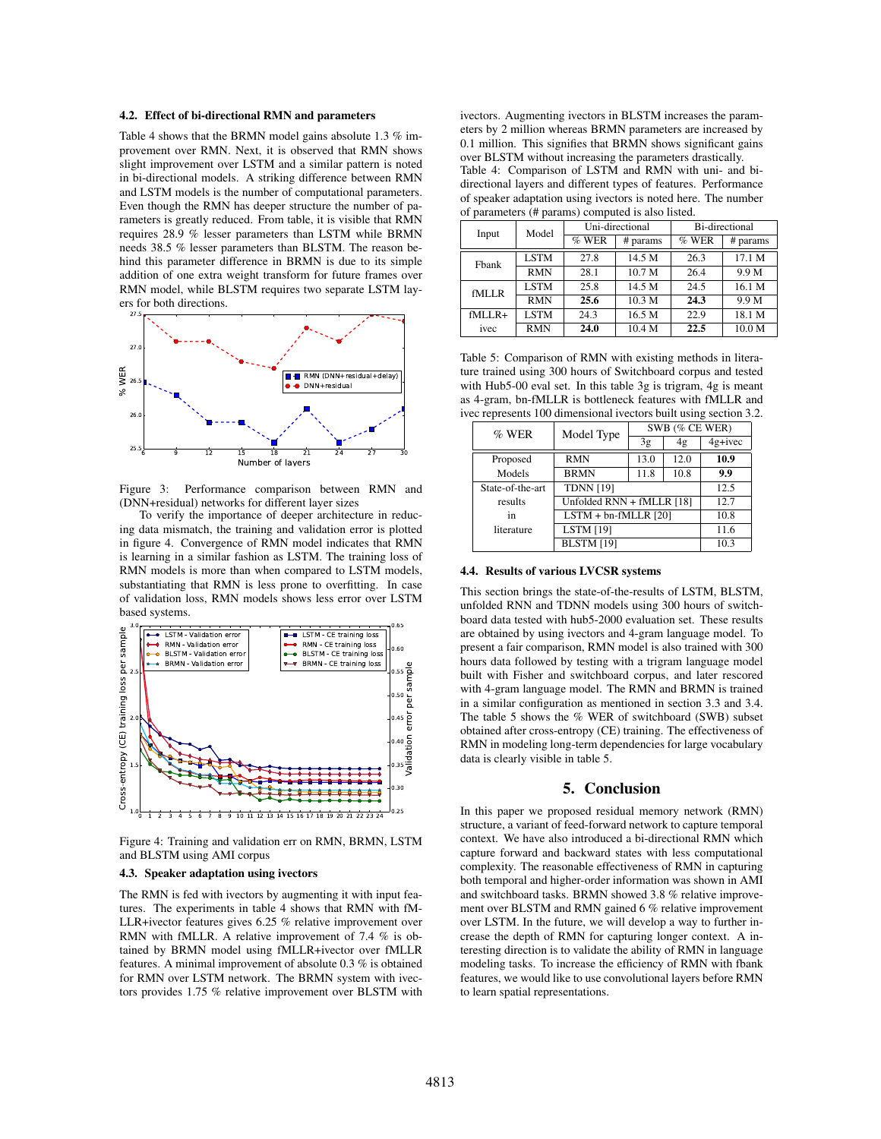## 4.2. Effect of bi-directional RMN and parameters

Table 4 shows that the BRMN model gains absolute 1.3 % improvement over RMN. Next, it is observed that RMN shows slight improvement over LSTM and a similar pattern is noted in bi-directional models. A striking difference between RMN and LSTM models is the number of computational parameters. Even though the RMN has deeper structure the number of parameters is greatly reduced. From table, it is visible that RMN requires 28.9 % lesser parameters than LSTM while BRMN needs 38.5 % lesser parameters than BLSTM. The reason behind this parameter difference in BRMN is due to its simple addition of one extra weight transform for future frames over RMN model, while BLSTM requires two separate LSTM layers for both directions.



Figure 3: Performance comparison between RMN and (DNN+residual) networks for different layer sizes

To verify the importance of deeper architecture in reducing data mismatch, the training and validation error is plotted in figure 4. Convergence of RMN model indicates that RMN is learning in a similar fashion as LSTM. The training loss of RMN models is more than when compared to LSTM models, substantiating that RMN is less prone to overfitting. In case of validation loss, RMN models shows less error over LSTM based systems.



Figure 4: Training and validation err on RMN, BRMN, LSTM and BLSTM using AMI corpus

# 4.3. Speaker adaptation using ivectors

The RMN is fed with ivectors by augmenting it with input features. The experiments in table 4 shows that RMN with fM-LLR+ivector features gives 6.25 % relative improvement over RMN with fMLLR. A relative improvement of 7.4 % is obtained by BRMN model using fMLLR+ivector over fMLLR features. A minimal improvement of absolute 0.3 % is obtained for RMN over LSTM network. The BRMN system with ivectors provides 1.75 % relative improvement over BLSTM with

ivectors. Augmenting ivectors in BLSTM increases the parameters by 2 million whereas BRMN parameters are increased by 0.1 million. This signifies that BRMN shows significant gains over BLSTM without increasing the parameters drastically. Table 4: Comparison of LSTM and RMN with uni- and bidirectional layers and different types of features. Performance of speaker adaptation using ivectors is noted here. The number of parameters (# params) computed is also listed.

| Input    | Model       | Uni-directional |          | Bi-directional |                   |
|----------|-------------|-----------------|----------|----------------|-------------------|
|          |             | $%$ WER         | # params | $%$ WER        | # params          |
| Fbank    | <b>LSTM</b> | 27.8            | 14.5 M   | 26.3           | 17.1 M            |
|          | <b>RMN</b>  | 28.1            | 10.7 M   | 26.4           | 9.9 M             |
| fMLLR    | <b>LSTM</b> | 25.8            | 14.5 M   | 24.5           | 16.1 M            |
|          | <b>RMN</b>  | 25.6            | 10.3 M   | 24.3           | 9.9 M             |
| $fMLLR+$ | <b>LSTM</b> | 24.3            | 16.5 M   | 22.9           | 18.1 M            |
| ivec     | <b>RMN</b>  | 24.0            | 10.4 M   | 22.5           | 10.0 <sub>M</sub> |

Table 5: Comparison of RMN with existing methods in literature trained using 300 hours of Switchboard corpus and tested with Hub5-00 eval set. In this table 3g is trigram, 4g is meant as 4-gram, bn-fMLLR is bottleneck features with fMLLR and ivec represents 100 dimensional ivectors built using section 3.2.

| $%$ WER          | Model Type                | SWB (% CE WER) |      |           |  |
|------------------|---------------------------|----------------|------|-----------|--|
|                  |                           | 3g             | 4g   | $4g+ivec$ |  |
| Proposed         | <b>RMN</b>                | 13.0           | 12.0 | 10.9      |  |
| Models           | <b>BRMN</b>               | 11.8           | 10.8 | 9.9       |  |
| State-of-the-art | <b>TDNN [19]</b>          |                |      | 12.5      |  |
| results          | Unfolded RNN + fMLLR [18] |                |      | 12.7      |  |
| in               | $LSTM + bn-fMLLR$ [20]    |                |      | 10.8      |  |
| literature       | <b>LSTM</b> [19]          |                |      | 11.6      |  |
|                  | <b>BLSTM</b> [19]         |                |      | 10.3      |  |

## 4.4. Results of various LVCSR systems

This section brings the state-of-the-results of LSTM, BLSTM, unfolded RNN and TDNN models using 300 hours of switchboard data tested with hub5-2000 evaluation set. These results are obtained by using ivectors and 4-gram language model. To present a fair comparison, RMN model is also trained with 300 hours data followed by testing with a trigram language model built with Fisher and switchboard corpus, and later rescored with 4-gram language model. The RMN and BRMN is trained in a similar configuration as mentioned in section 3.3 and 3.4. The table 5 shows the  $%$  WER of switchboard (SWB) subset obtained after cross-entropy (CE) training. The effectiveness of RMN in modeling long-term dependencies for large vocabulary data is clearly visible in table 5.

## 5. Conclusion

In this paper we proposed residual memory network (RMN) structure, a variant of feed-forward network to capture temporal context. We have also introduced a bi-directional RMN which capture forward and backward states with less computational complexity. The reasonable effectiveness of RMN in capturing both temporal and higher-order information was shown in AMI and switchboard tasks. BRMN showed 3.8 % relative improvement over BLSTM and RMN gained 6 % relative improvement over LSTM. In the future, we will develop a way to further increase the depth of RMN for capturing longer context. A interesting direction is to validate the ability of RMN in language modeling tasks. To increase the efficiency of RMN with fbank features, we would like to use convolutional layers before RMN to learn spatial representations.